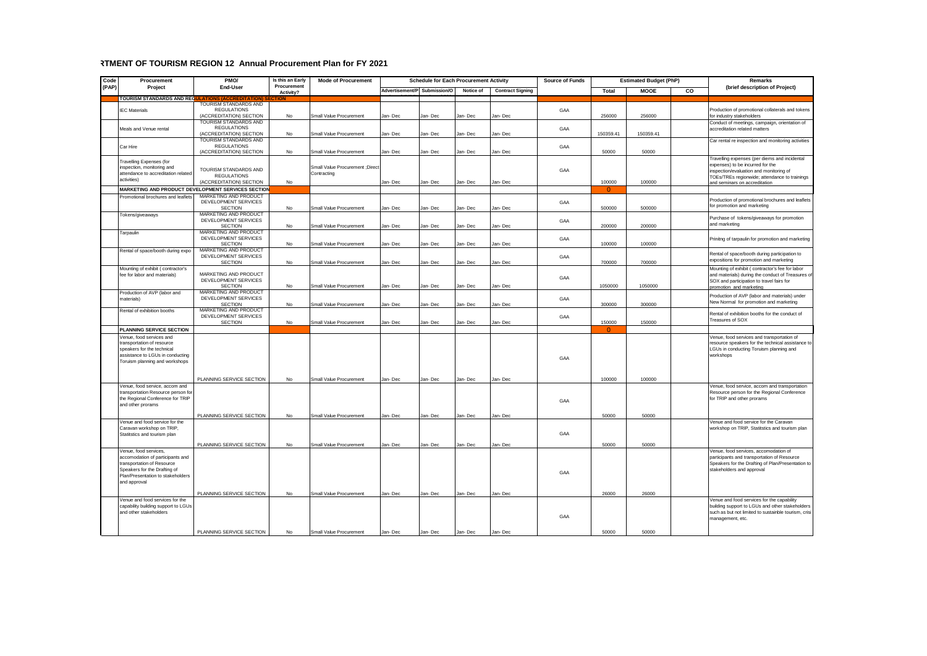## **RIFART OF TOURISM REGION 12 Annual Procurement Plan for FY 2021**

| Code  | Procurement                                                            | PMO/                                                                          | Is this an Early         | <b>Mode of Procurement</b>      | <b>Schedule for Each Procurement Activity</b> |              |           | <b>Source of Funds</b>  | <b>Estimated Budget (PhP)</b> |              |             | Remarks |                                                                                                |
|-------|------------------------------------------------------------------------|-------------------------------------------------------------------------------|--------------------------|---------------------------------|-----------------------------------------------|--------------|-----------|-------------------------|-------------------------------|--------------|-------------|---------|------------------------------------------------------------------------------------------------|
| (PAP) | Project                                                                | End-User                                                                      | Procurement<br>Activity? |                                 | Advertisement/P                               | Submission/O | Notice of | <b>Contract Signing</b> |                               | <b>Total</b> | <b>MOOE</b> | CO      | (brief description of Project)                                                                 |
|       | <b>TOURISM STANDARDS AND REG</b>                                       |                                                                               |                          |                                 |                                               |              |           |                         |                               |              |             |         |                                                                                                |
|       | <b>IFC Materials</b>                                                   | TOURISM STANDARDS AND<br><b>REGULATIONS</b>                                   |                          |                                 |                                               |              |           |                         | GAA                           |              |             |         | Production of promotional collaterals and tokens                                               |
|       |                                                                        | (ACCREDITATION) SECTION                                                       | No                       | Small Value Procurement         | lan-Dec                                       | lan-Dec      | lan-Dec   | lan-Dec                 |                               | 256000       | 256000      |         | for industry stakeholders                                                                      |
|       |                                                                        | TOURISM STANDARDS AND                                                         |                          |                                 |                                               |              |           |                         |                               |              |             |         | Conduct of meetings, campaign, orientation of                                                  |
|       | Meals and Venue rental                                                 | <b>REGULATIONS</b><br>(ACCREDITATION) SECTION                                 | No                       | Small Value Procurement         | Jan-Dec                                       | Jan-Dec      | Jan-Dec   | Jan-Dec                 | GAA                           | 150359.41    | 150359.41   |         | accreditation related matters                                                                  |
|       |                                                                        | TOURISM STANDARDS AND                                                         |                          |                                 |                                               |              |           |                         |                               |              |             |         | Car rental re inspection and monitoring activities                                             |
|       | Car Hire                                                               | <b>REGULATIONS</b>                                                            |                          |                                 |                                               |              |           |                         | GAA                           |              |             |         |                                                                                                |
|       |                                                                        | (ACCREDITATION) SECTION                                                       | No                       | Small Value Procurement         | Jan-Dec                                       | lan-Dec      | Jan-Dec   | Jan-Dec                 |                               | 50000        | 50000       |         |                                                                                                |
|       | Travelling Expenses (for                                               |                                                                               |                          |                                 |                                               |              |           |                         |                               |              |             |         | Travelling expenses (per diems and incidental<br>expenses) to be incurred for the              |
|       | inspection, monitoring and<br>attendance to accreditation related      | TOURISM STANDARDS AND                                                         |                          | Small Value Procurement ; Direc |                                               |              |           |                         | GAA                           |              |             |         | inspection/evaluation and monitoring of                                                        |
|       | activities)                                                            | <b>REGULATIONS</b>                                                            |                          | Contracting                     |                                               |              |           |                         |                               | 100000       | 100000      |         | TOEs/TREs regionwide; attendance to trainings                                                  |
|       |                                                                        | (ACCREDITATION) SECTION<br>MARKETING AND PRODUCT DEVELOPMENT SERVICES SECTION | No                       |                                 | Jan-Dec                                       | lan-Dec      | Jan-Dec   | Jan-Dec                 |                               | $\Omega$     |             |         | and seminars on accreditation                                                                  |
|       | Promotional brochures and leaflets                                     | MARKETING AND PRODUCT                                                         |                          |                                 |                                               |              |           |                         |                               |              |             |         |                                                                                                |
|       |                                                                        | DEVELOPMENT SERVICES                                                          |                          |                                 |                                               |              |           |                         | GAA                           |              |             |         | Production of promotional brochures and leaflets                                               |
|       |                                                                        | <b>SECTION</b>                                                                | No                       | Small Value Procurement         | Jan-Dec                                       | Jan-Dec      | Jan-Dec   | Jan-Dec                 |                               | 500000       | 500000      |         | for promotion and marketing                                                                    |
|       | Tokens/giveaways                                                       | MARKETING AND PRODUCT<br>DEVELOPMENT SERVICES                                 |                          |                                 |                                               |              |           |                         |                               |              |             |         | Purchase of tokens/giveaways for promotion                                                     |
|       |                                                                        | <b>SECTION</b>                                                                | No                       | Small Value Procurement         | Jan- Dec                                      | Jan-Dec      | Jan- Dec  | Jan- Dec                | GAA                           | 200000       | 200000      |         | and marketing                                                                                  |
|       | Tarpaulin                                                              | MARKETING AND PRODUCT                                                         |                          |                                 |                                               |              |           |                         |                               |              |             |         |                                                                                                |
|       |                                                                        | DEVELOPMENT SERVICES                                                          |                          |                                 |                                               |              |           |                         | GAA                           |              |             |         | Prinitng of tarpaulin for promotion and marketing                                              |
|       | Rental of space/booth during expo                                      | <b>SECTION</b><br>MARKETING AND PRODUCT                                       | No                       | Small Value Procurement         | Jan-Dec                                       | Jan-Dec      | Jan-Dec   | Jan-Dec                 |                               | 100000       | 100000      |         |                                                                                                |
|       |                                                                        | DEVELOPMENT SERVICES                                                          |                          |                                 |                                               |              |           |                         | GAA                           |              |             |         | Rental of space/booth during participation to                                                  |
|       |                                                                        | <b>SECTION</b>                                                                | No                       | Small Value Procurement         | lan-Dec                                       | lan-Dec      | Jan-Dec   | Jan-Dec                 |                               | 700000       | 700000      |         | expositions for promotion and marketing                                                        |
|       | Mounting of exhibit ( contractor's                                     | MARKETING AND PRODUCT                                                         |                          |                                 |                                               |              |           |                         |                               |              |             |         | Mounting of exhibit ( contractor's fee for labor                                               |
|       | fee for labor and materials)                                           | DEVELOPMENT SERVICES                                                          |                          |                                 |                                               |              |           |                         | GAA                           |              |             |         | and materials) during the conduct of Treasures of<br>SOX and participation to travel fairs for |
|       |                                                                        | <b>SECTION</b>                                                                | No                       | Small Value Procurement         | lan-Dec                                       | lan-Dec      | lan-Dec   | Jan-Dec                 |                               | 1050000      | 1050000     |         | promotion and marketing                                                                        |
|       | Production of AVP (labor and                                           | MARKETING AND PRODUCT<br>DEVELOPMENT SERVICES                                 |                          |                                 |                                               |              |           |                         |                               |              |             |         | Production of AVP (labor and materials) under                                                  |
|       | materials)                                                             | <b>SECTION</b>                                                                | No                       | Small Value Procurement         | Jan-Dec                                       | Jan-Dec      | Jan-Dec   | Jan-Dec                 | GAA                           | 300000       | 300000      |         | New Normal for promotion and marketing                                                         |
|       | Rental of exhibition booths                                            | MARKETING AND PRODUCT                                                         |                          |                                 |                                               |              |           |                         |                               |              |             |         | Rental of exhibition booths for the conduct of                                                 |
|       |                                                                        | DEVELOPMENT SERVICES                                                          |                          |                                 |                                               |              |           |                         | GAA                           |              |             |         | Treasures of SOX                                                                               |
|       | PLANNING SERVICE SECTION                                               | <b>SECTION</b>                                                                | No                       | Small Value Procurement         | Jan- Dec                                      | Jan- Dec     | Jan- Dec  | Jan-Dec                 |                               | 150000       | 150000      |         |                                                                                                |
|       | Venue, food services and                                               |                                                                               |                          |                                 |                                               |              |           |                         |                               |              |             |         | Venue, food services and transportation of                                                     |
|       | transportation of resource                                             |                                                                               |                          |                                 |                                               |              |           |                         |                               |              |             |         | resource speakers for the technical assistance to                                              |
|       | speakers for the technical                                             |                                                                               |                          |                                 |                                               |              |           |                         |                               |              |             |         | LGUs in conducting Toruism planning and                                                        |
|       | assistance to LGUs in conducting                                       |                                                                               |                          |                                 |                                               |              |           |                         | GAA                           |              |             |         | workshops                                                                                      |
|       | Toruism planning and workshops                                         |                                                                               |                          |                                 |                                               |              |           |                         |                               |              |             |         |                                                                                                |
|       |                                                                        |                                                                               |                          |                                 |                                               |              |           |                         |                               |              |             |         |                                                                                                |
|       |                                                                        | PLANNING SERVICE SECTION                                                      | N <sub>0</sub>           | Small Value Procurement         | Jan-Dec                                       | Jan-Dec      | Jan-Dec   | Jan-Dec                 |                               | 100000       | 100000      |         |                                                                                                |
|       | Venue, food service, accom and                                         |                                                                               |                          |                                 |                                               |              |           |                         |                               |              |             |         | Venue, food service, accom and transportation                                                  |
|       | transportation Resource person for<br>the Regional Conference for TRIP |                                                                               |                          |                                 |                                               |              |           |                         |                               |              |             |         | Resource person for the Regional Conference<br>for TRIP and other prorams                      |
|       | and other prorams                                                      |                                                                               |                          |                                 |                                               |              |           |                         | GAA                           |              |             |         |                                                                                                |
|       |                                                                        | PLANNING SERVICE SECTION                                                      |                          | Small Value Procurement         | Jan-Dec                                       | Jan-Dec      | Jan-Dec   | Jan-Dec                 |                               | 50000        | 50000       |         |                                                                                                |
|       | Venue and food service for the                                         |                                                                               | No                       |                                 |                                               |              |           |                         |                               |              |             |         | Venue and food service for the Caravan                                                         |
|       | Caravan workshop on TRIP,                                              |                                                                               |                          |                                 |                                               |              |           |                         |                               |              |             |         | workshop on TRIP, Statitstics and tourism plan                                                 |
|       | Statitstics and tourism plan                                           |                                                                               |                          |                                 |                                               |              |           |                         | GAA                           |              |             |         |                                                                                                |
|       |                                                                        | PLANNING SERVICE SECTION                                                      | No                       | Small Value Procurement         | Jan-Dec                                       | Jan-Dec      | Jan-Dec   | Jan-Dec                 |                               | 50000        | 50000       |         |                                                                                                |
|       | Venue, food services,                                                  |                                                                               |                          |                                 |                                               |              |           |                         |                               |              |             |         | Venue, food services, accomodation of                                                          |
|       | accomodation of participants and                                       |                                                                               |                          |                                 |                                               |              |           |                         |                               |              |             |         | participants and transportation of Resource                                                    |
|       | transportation of Resource<br>Speakers for the Drafting of             |                                                                               |                          |                                 |                                               |              |           |                         |                               |              |             |         | Speakers for the Drafting of Plan/Presentation to<br>stakeholders and approval                 |
|       | Plan/Presentation to stakeholders                                      |                                                                               |                          |                                 |                                               |              |           |                         | GAA                           |              |             |         |                                                                                                |
|       | and approval                                                           |                                                                               |                          |                                 |                                               |              |           |                         |                               |              |             |         |                                                                                                |
|       |                                                                        |                                                                               |                          |                                 |                                               |              |           |                         |                               |              |             |         |                                                                                                |
|       | Venue and food services for the                                        | PLANNING SERVICE SECTION                                                      | No                       | Small Value Procurement         | lan-Dec                                       | Jan-Dec      | Jan-Dec   | Jan-Dec                 |                               | 26000        | 26000       |         | Venue and food services for the capability                                                     |
|       | capability building support to LGUs                                    |                                                                               |                          |                                 |                                               |              |           |                         |                               |              |             |         | building support to LGUs and other stakeholders                                                |
|       | and other stakeholders                                                 |                                                                               |                          |                                 |                                               |              |           |                         | GAA                           |              |             |         | such as but not limited to sustainble tourism, crisi                                           |
|       |                                                                        |                                                                               |                          |                                 |                                               |              |           |                         |                               |              |             |         | management, etc.                                                                               |
|       |                                                                        |                                                                               |                          |                                 |                                               |              |           |                         |                               |              |             |         |                                                                                                |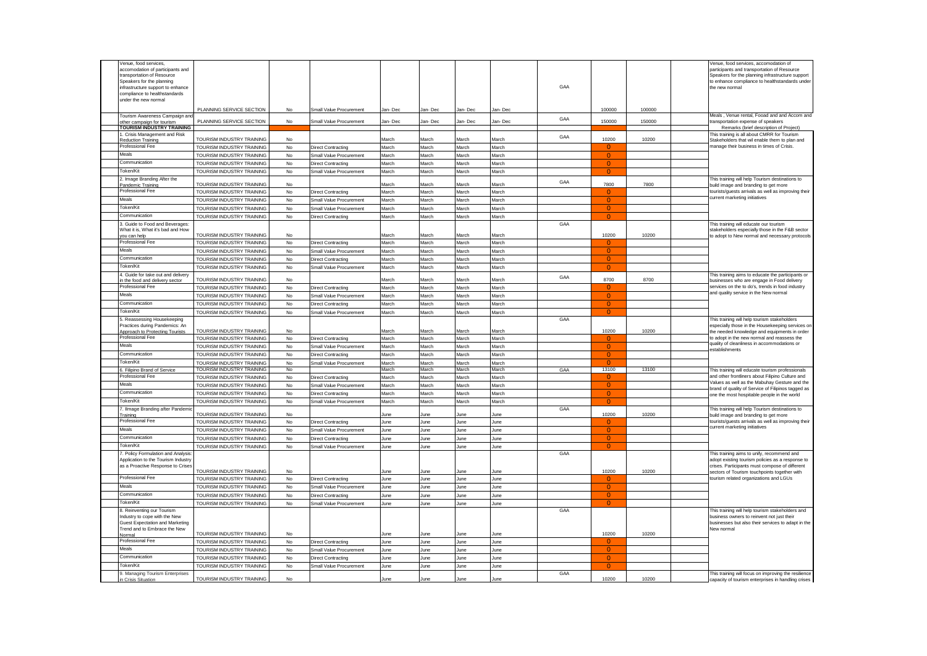| Venue, food services,                            |                           |               |                           |         |              |         |         |     |                |        | Venue, food services, accomodation of                                                             |
|--------------------------------------------------|---------------------------|---------------|---------------------------|---------|--------------|---------|---------|-----|----------------|--------|---------------------------------------------------------------------------------------------------|
| accomodation of participants and                 |                           |               |                           |         |              |         |         |     |                |        | participants and transportation of Resource                                                       |
| transportation of Resource                       |                           |               |                           |         |              |         |         |     |                |        | Speakers for the planning infrastructure support                                                  |
| Speakers for the planning                        |                           |               |                           |         |              |         |         | GAA |                |        | to enhance compliance to healthstandards under                                                    |
| infrastructure support to enhance                |                           |               |                           |         |              |         |         |     |                |        | the new normal                                                                                    |
| compliance to healthstandards                    |                           |               |                           |         |              |         |         |     |                |        |                                                                                                   |
| under the new normal                             |                           |               |                           |         |              |         |         |     |                |        |                                                                                                   |
|                                                  | PLANNING SERVICE SECTION  | <b>No</b>     | Small Value Procurement   | Jan-Dec | lan-Dec      | lan-Dec | Jan-Dec |     | 100000         | 100000 |                                                                                                   |
| Tourism Awareness Campaign ar                    |                           |               |                           |         |              |         |         |     |                |        | Meals, Venue rental, Fooad and and Accom and                                                      |
| ther campaign for tourism                        | PLANNING SERVICE SECTION  | No            | Small Value Procurement   | Jan-Dec | lan-Dec      | lan-Dec | Jan-Dec | GAA | 150000         | 150000 | transportation expense of speakers                                                                |
| <b>TOURISM INDUSTRY TRAINING</b>                 |                           |               |                           |         |              |         |         |     |                |        | Remarks (brief description of Project)                                                            |
| . Crisis Management and Risk                     |                           |               |                           |         |              |         |         | GAA |                |        | This training is all about CMRR for Tourism                                                       |
| <b>Reduction Training</b>                        | TOURISM INDUSTRY TRAINING | No            |                           | March   | March        | March   | March   |     | 10200          | 10200  | Stakeholders that wil enable them to plan and                                                     |
| Professional Fee                                 | TOURISM INDUSTRY TRAINING | $\mathsf{No}$ | <b>Direct Contracting</b> | March   | March        | March   | March   |     | $\Omega$       |        | manage their business in times of Crisis.                                                         |
| Meals                                            | TOURISM INDUSTRY TRAINING | No            | Small Value Procurement   | March   | March        | March   | March   |     | $\Omega$       |        |                                                                                                   |
| Communication                                    | TOURISM INDUSTRY TRAINING | No            | <b>Direct Contracting</b> | March   | March        | March   | March   |     | $\mathbf{0}$   |        |                                                                                                   |
| Token/Kit                                        |                           |               |                           |         |              |         |         |     |                |        |                                                                                                   |
|                                                  | TOURISM INDUSTRY TRAINING | No            | Small Value Procurement   | March   | March        | March   | March   |     | $\Omega$       |        |                                                                                                   |
| 2. Image Branding After the                      |                           |               |                           |         |              |         |         | GAA |                |        | This training will help Tourism destinations to                                                   |
| Pandemic Training                                | TOURISM INDUSTRY TRAINING | No            |                           | March   | March        | March   | March   |     | 7800           | 7800   | build image and branding to get more                                                              |
| Professional Fee                                 | TOURISM INDUSTRY TRAINING | No            | <b>Direct Contracting</b> | March   | March        | March   | March   |     | $\Omega$       |        | tourists/guests arrivals as well as improving their                                               |
| Meals                                            | TOURISM INDUSTRY TRAINING | $\mathsf{No}$ | Small Value Procurement   | March   | March        | March   | March   |     | $\Omega$       |        | current marketing initiatives                                                                     |
| Token/Kit                                        | TOURISM INDUSTRY TRAINING | No            | Small Value Procurement   | March   | March        | March   | March   |     | $\Omega$       |        |                                                                                                   |
| Communication                                    | TOURISM INDUSTRY TRAINING | No            | <b>Direct Contracting</b> | March   | March        | March   | March   |     | $\overline{0}$ |        |                                                                                                   |
|                                                  |                           |               |                           |         |              |         |         |     |                |        |                                                                                                   |
| 3. Guide to Food and Beverages                   |                           |               |                           |         |              |         |         | GAA |                |        | This training will educate our tourism                                                            |
| What it is, What it's bad and How                | TOURISM INDUSTRY TRAINING | No            |                           | March   | March        | March   | March   |     | 10200          | 10200  | stakeholders especially those in the F&B sector                                                   |
| you can help<br>Professional Fee                 |                           |               |                           |         |              |         |         |     |                |        | to adopt to New normal and necessary protocols                                                    |
|                                                  | TOURISM INDUSTRY TRAINING | No            | Direct Contracting        | March   | March        | March   | March   |     | $\Omega$       |        |                                                                                                   |
| Meals                                            | TOURISM INDUSTRY TRAINING | No            | Small Value Procurement   | March   | March        | March   | March   |     | $\overline{0}$ |        |                                                                                                   |
| Communication                                    | TOURISM INDUSTRY TRAINING | No            | <b>Direct Contracting</b> | March   | March        | March   | March   |     | $\overline{0}$ |        |                                                                                                   |
| Token/Kit                                        | TOURISM INDUSTRY TRAINING | No            | Small Value Procurement   | March   | March        | March   | March   |     | $\overline{0}$ |        |                                                                                                   |
| 1. Guide for take out and deliver                |                           |               |                           |         |              |         |         |     |                |        |                                                                                                   |
| n the food and delivery sector                   | TOURISM INDUSTRY TRAINING | No            |                           | Aarch   | March        | March   | March   | GAA | 8700           | 8700   | This training aims to educate the participants or<br>businesses who are engage in Food delivery   |
| Professional Fee                                 | TOURISM INDUSTRY TRAINING |               |                           | March   | March        | March   | March   |     | $\Omega$       |        | services on the to do's, trends in food industry                                                  |
| Meals                                            |                           | $\mathsf{No}$ | <b>Direct Contracting</b> |         |              |         |         |     |                |        | and quality service in the New normal                                                             |
|                                                  | TOURISM INDUSTRY TRAINING | No            | Small Value Procurement   | March   | <b>Aarch</b> | March   | March   |     | $\Omega$       |        |                                                                                                   |
| Communication                                    | TOURISM INDUSTRY TRAINING | No            | <b>Direct Contracting</b> | March   | March        | March   | March   |     | $\Omega$       |        |                                                                                                   |
| Token/Kit                                        | TOURISM INDUSTRY TRAINING | No            | Small Value Procurement   | March   | March        | March   | March   |     | $\Omega$       |        |                                                                                                   |
|                                                  |                           |               |                           |         |              |         |         |     |                |        |                                                                                                   |
|                                                  |                           |               |                           |         |              |         |         |     |                |        |                                                                                                   |
| 5. Reassessing Housekeeping                      |                           |               |                           |         |              |         |         | GAA |                |        | This training will help tourism stakeholders                                                      |
| Practices during Pandemics: An                   | TOURISM INDUSTRY TRAINING | No            |                           | March   | March        | March   | March   |     | 10200          | 10200  | especially those in the Housekeeping services on                                                  |
| Approach to Protecting Tourists                  |                           |               |                           |         |              |         |         |     |                |        | the needed knowledge and equipments in order                                                      |
| Professional Fee                                 | TOURISM INDUSTRY TRAINING | No            | Direct Contracting        | March   | March        | March   | March   |     |                |        | to adopt in the new normal and reassess the                                                       |
| Meals                                            | TOURISM INDUSTRY TRAINING | No            | Small Value Procurement   | March   | March        | March   | March   |     | $\overline{0}$ |        | quality of cleanliness in accommodations or<br>establishments                                     |
| Communication                                    | TOURISM INDUSTRY TRAINING | No            | Direct Contracting        | March   | March        | March   | March   |     | $\Omega$       |        |                                                                                                   |
| Token/Kit                                        | TOURISM INDUSTRY TRAINING | No            |                           | March   | March        | March   | March   |     | $\Omega$       |        |                                                                                                   |
|                                                  | TOURISM INDUSTRY TRAINING | No            | Small Value Procurement   | Aarch   | March        | vlarch  | Vlarch  | GAA | 13100          | 13100  | This training will educate tourism professionals                                                  |
| 6. Filipino Brand of Service<br>Professional Fee |                           | No            |                           | March   | March        |         | March   |     | n              |        |                                                                                                   |
|                                                  | TOURISM INDUSTRY TRAINING |               | <b>Direct Contracting</b> |         |              | March   |         |     |                |        | and other frontliners about Filipino Culture and<br>Values as well as the Mabuhay Gesture and the |
| Meals                                            | TOURISM INDUSTRY TRAINING | No            | Small Value Procurement   | March   | March        | March   | March   |     | $\overline{0}$ |        | brand of quality of Service of Filipinos tagged as                                                |
| Communication                                    | TOURISM INDUSTRY TRAINING | No            | Direct Contracting        | March   | March        | March   | March   |     | $\Omega$       |        | one the most hospitable people in the world                                                       |
| Token/Kit                                        | TOURISM INDUSTRY TRAINING | No            | Small Value Procurement   | March   | March        | March   | March   |     | $\Omega$       |        |                                                                                                   |
|                                                  |                           |               |                           |         |              |         |         | GAA |                |        |                                                                                                   |
| 7. Ilmage Branding after Pandem<br>raining       | TOURISM INDUSTRY TRAINING | No            |                           | lune    | une          | lune    | une     |     | 10200          | 10200  | This training will help Tourism destinations to<br>build image and branding to get more           |
| Professional Fee                                 | TOURISM INDUSTRY TRAINING | No            | <b>Direct Contracting</b> | June    | June         | June    | June    |     | -0             |        | tourists/guests arrivals as well as improving their                                               |
| Meals                                            |                           |               |                           |         |              |         |         |     | $\Omega$       |        | current marketing initiatives                                                                     |
|                                                  | TOURISM INDUSTRY TRAINING | No            | Small Value Procurement   | June    | June         | June    | June    |     |                |        |                                                                                                   |
| Communication                                    | TOURISM INDUSTRY TRAINING | No            | <b>Direct Contracting</b> | June    | June         | June    | June    |     | $\overline{0}$ |        |                                                                                                   |
| Token/Kit                                        | TOURISM INDUSTRY TRAINING | No            | Small Value Procurement   | June    | lune         | lune    | June    |     | $\Omega$       |        |                                                                                                   |
| . Policy Formulation and Analysis                |                           |               |                           |         |              |         |         | GAA |                |        | This training aims to unify, recommend and                                                        |
| Application to the Tourism Industry              |                           |               |                           |         |              |         |         |     |                |        | adopt existing tourism policies as a response to                                                  |
| as a Proactive Response to Crises                |                           |               |                           |         |              |         |         |     |                |        | crises. Participants must compose of different                                                    |
|                                                  | TOURISM INDUSTRY TRAINING | No            |                           | une     | une          |         | une     |     | 10200          | 10200  | sectors of Tourism touchpoints together with                                                      |
| Professional Fee                                 | TOURISM INDUSTRY TRAINING | No            | Direct Contracting        | June    | June         | June    | June    |     | O              |        | tourism related organizations and LGUs                                                            |
| Meals                                            | TOURISM INDUSTRY TRAINING | No            | Small Value Procurement   | June    | lune         | lune    | June    |     | $\overline{0}$ |        |                                                                                                   |
| Communication                                    |                           |               |                           |         |              |         |         |     | $\Omega$       |        |                                                                                                   |
|                                                  | TOURISM INDUSTRY TRAINING | No            | <b>Direct Contracting</b> | June    | June         | June    | June    |     |                |        |                                                                                                   |
| Token/Kit                                        | TOURISM INDUSTRY TRAINING | No            | Small Value Procurement   | June    | June         | June    | June    |     | $\Omega$       |        |                                                                                                   |
| 3. Reinventing our Tourism                       |                           |               |                           |         |              |         |         | GAA |                |        | This training will help tourism stakeholders and                                                  |
| Industry to cope with the New                    |                           |               |                           |         |              |         |         |     |                |        | business owners to reinvent not just their                                                        |
| Guest Expectation and Marketing                  |                           |               |                           |         |              |         |         |     |                |        | businesses but also their services to adapt in the                                                |
| Trend and to Embrace the New<br>Norma            | TOURISM INDUSTRY TRAINING | No            |                           | une     | une          |         | June    |     | 10200          | 10200  | New normal                                                                                        |
| Professional Fee                                 |                           |               |                           |         |              |         |         |     |                |        |                                                                                                   |
|                                                  | TOURISM INDUSTRY TRAINING | No            | Direct Contracting        | June    | lune         | lune    | June    |     |                |        |                                                                                                   |
| Meals                                            | TOURISM INDUSTRY TRAINING | No            | Small Value Procurement   | June    | June         | June    | June    |     | $\Omega$       |        |                                                                                                   |
| Communication                                    | TOURISM INDUSTRY TRAINING | No            | <b>Direct Contracting</b> | June    | June         | lune    | June    |     | $\Omega$       |        |                                                                                                   |
| Token/Kit                                        | TOURISM INDUSTRY TRAINING | No            | Small Value Procurement   | June    | June         | June    | June    |     | $\mathbf{0}$   |        |                                                                                                   |
| . Managing Tourism Enterprises                   | TOURISM INDUSTRY TRAINING | No            |                           | June    | lune         | June    | June    | GAA | 10200          | 10200  | This training will focus on improving the resilience                                              |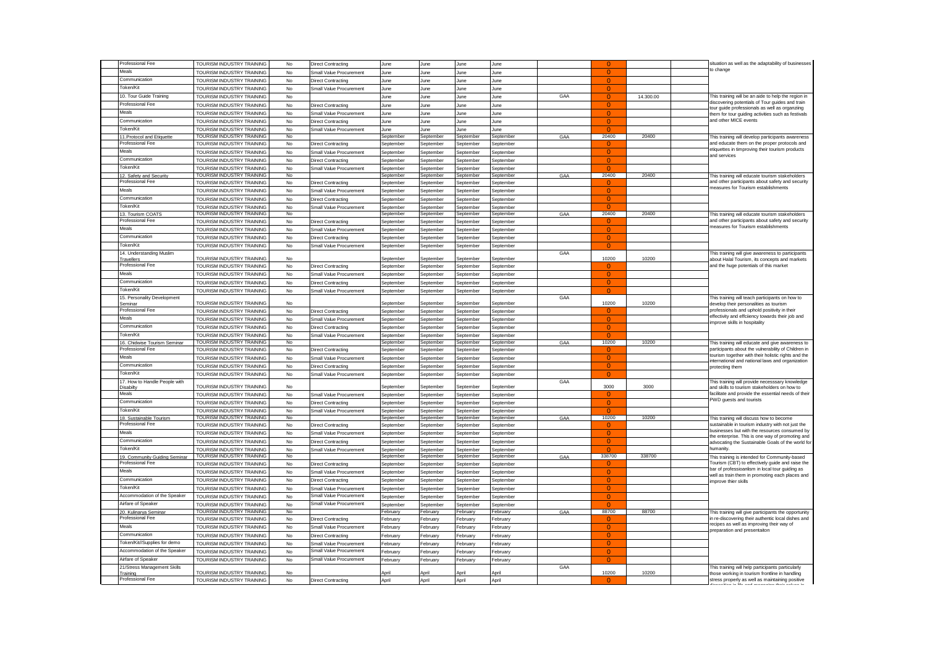| Professional Fee                                  | TOURISM INDUSTRY TRAINING                              | No            | <b>Direct Contracting</b>      | June                   | June                   | June                   | June                   |     |                      |           | situation as well as the adaptability of businesses                                                     |
|---------------------------------------------------|--------------------------------------------------------|---------------|--------------------------------|------------------------|------------------------|------------------------|------------------------|-----|----------------------|-----------|---------------------------------------------------------------------------------------------------------|
| Meals                                             | TOURISM INDUSTRY TRAINING                              | No            | Small Value Procurement        | June                   | June                   | June                   | lune                   |     |                      |           | to change                                                                                               |
| Communication                                     | TOURISM INDUSTRY TRAINING                              | No            | Direct Contracting             | June                   | June                   | June                   | June                   |     | $\Omega$             |           |                                                                                                         |
| Token/Kit                                         | TOURISM INDUSTRY TRAINING                              | No            | Small Value Procurement        | June                   | June                   | June                   | June                   |     | $\Omega$             |           |                                                                                                         |
| 10. Tour Guide Training                           | TOURISM INDUSTRY TRAINING                              | No            |                                | June                   | June                   | lune                   | June                   | GAA | $\Omega$             | 14.300.00 | This training will be an aide to help the region in                                                     |
| Professional Fee                                  | TOURISM INDUSTRY TRAINING                              | No            | Direct Contracting             | June                   | June                   | June                   | June                   |     | $\mathbf{0}$         |           | discovering potentials of Tour guides and train<br>tour guide professionals as well as organziing       |
| Meals                                             | TOURISM INDUSTRY TRAINING                              | No            | Small Value Procurement        | June                   | June                   | June                   | June                   |     | $\Omega$             |           | hem for tour guiding activities such as festivals                                                       |
| Communication                                     | TOURISM INDUSTRY TRAINING                              | No            | Direct Contracting             | June                   | June                   | lune                   | June                   |     | $\Omega$             |           | and other MICE events                                                                                   |
| Token/Kit                                         | TOURISM INDUSTRY TRAINING                              | No            | Small Value Procurement        | June                   | June                   | June                   | June                   |     | $\Omega$             |           |                                                                                                         |
| 11. Protocol and Etiquette                        | TOURISM INDUSTRY TRAINING                              | No            |                                | September              | September              | September              | September              | GAA | 20400                | 20400     | This training will develop participants awareness                                                       |
| Professional Fee                                  | TOURISM INDUSTRY TRAINING                              | No            | Direct Contracting             | September              | September              | September              | September              |     | $\Omega$             |           | and educate them on the proper protocols and<br>etiquettes in timproving their tourism products         |
| Meals                                             | TOURISM INDUSTRY TRAINING                              | No            | Small Value Procurement        | Septembe               | September              | September              | September              |     | $\Omega$             |           | and services                                                                                            |
| Communication                                     | TOURISM INDUSTRY TRAINING                              | No            | Direct Contracting             | September              | September              | September              | September              |     | $\Omega$             |           |                                                                                                         |
| Token/Kit                                         | TOURISM INDUSTRY TRAINING<br>TOURISM INDUSTRY TRAINING | No<br>No      | Small Value Procurement        | September<br>September | September<br>Sentember | eptember               | September<br>September |     | $\Omega$<br>20400    |           |                                                                                                         |
| 12. Safety and Security<br>Professional Fee       | TOURISM INDUSTRY TRAINING                              | No            | Direct Contracting             | September              | September              | Sentember<br>September | September              | GAA | $\Omega$             | 20400     | This training will educate tourism stakeholders<br>and other participants about safety and security     |
| Meals                                             | TOURISM INDUSTRY TRAINING                              | No            | Small Value Procurement        | September              | September              | September              | Septembe               |     | $\Omega$             |           | neasures for Tourism establishments                                                                     |
| Communication                                     | TOURISM INDUSTRY TRAINING                              | No            | Direct Contracting             | September              | September              | eptember               | September              |     | $\Omega$             |           |                                                                                                         |
| <b>Token/Kit</b>                                  | TOURISM INDUSTRY TRAINING                              | No            | Small Value Procurement        | September              | September              | September              | September              |     |                      |           |                                                                                                         |
| 13. Tourism COATS                                 | TOURISM INDUSTRY TRAINING                              | No            |                                | Sentember              | Sentember              | September              | September              | GAA | 20400                | 20400     | This training will educate tourism stakeholders                                                         |
| Professional Fee                                  | TOURISM INDUSTRY TRAINING                              | No            | Direct Contracting             | September              | September              | eptember               | September              |     | $\Omega$             |           | and other participants about safety and security                                                        |
| Meals                                             | TOURISM INDUSTRY TRAINING                              | No            | <b>Small Value Procurement</b> | Sentembe               | September              | eptember               | September              |     | $\Omega$             |           | neasures for Tourism establishments                                                                     |
| Communication                                     | TOURISM INDUSTRY TRAINING                              | No            | Direct Contracting             | September              | September              | eptember               | September              |     | $\mathbf{0}$         |           |                                                                                                         |
| Token/Kit                                         | TOURISM INDUSTRY TRAINING                              | No            | Small Value Procurement        | September              | September              | September              | September              |     | $\Omega$             |           |                                                                                                         |
| 14. Understanding Muslim                          |                                                        |               |                                |                        |                        |                        |                        | GAA |                      |           | This training will give awareness to participants                                                       |
| <b>Travellers</b><br>Professional Fee             | TOURISM INDUSTRY TRAINING                              | No            |                                | September              | September              | eptember               | September              |     | 10200                | 10200     | about Halal Tourism, its concepts and markets                                                           |
| Aeals                                             | TOURISM INDUSTRY TRAINING                              | $\mathsf{No}$ | Direct Contracting             | September              | September              | eptember               | September              |     |                      |           | and the huge potentials of this market                                                                  |
| Communication                                     | TOURISM INDUSTRY TRAINING                              | No            | Small Value Procurement        | September              | September              | September              | September              |     | $\Omega$<br>$\Omega$ |           |                                                                                                         |
| Token/Kit                                         | TOURISM INDUSTRY TRAINING                              | No            | Direct Contracting             | September              | September              | Sentember              | September              |     | $\mathbf{0}$         |           |                                                                                                         |
| 15. Personality Development                       | TOURISM INDUSTRY TRAINING                              | No            | Small Value Procurement        | September              | September              | eptember               | September              | GAA |                      |           | This training will teach participants on how to                                                         |
| Seminar                                           | TOURISM INDUSTRY TRAINING                              | No            |                                | september              | September              | eptember               | September              |     | 10200                | 10200     | develop their personalities as tourism                                                                  |
| Professional Fee                                  | TOURISM INDUSTRY TRAINING                              | No            | Direct Contracting             | September              | September              | September              | September              |     | $\Omega$             |           | professionals and uphold positivity in their                                                            |
| Meals                                             | TOURISM INDUSTRY TRAINING                              | No            | Small Value Procurement        | September              | September              | September              | September              |     | $\Omega$             |           | effectivity and effciiency towards their job and<br>mprove skills in hospitality                        |
| Communication                                     | TOURISM INDUSTRY TRAINING                              | No            | Direct Contracting             | September              | September              | September              | September              |     | $\Omega$             |           |                                                                                                         |
| Token/Kit                                         | TOURISM INDUSTRY TRAINING                              | No            | Small Value Procurement        | Septembe               | September              | September              | Septembe               |     | $\Omega$             |           |                                                                                                         |
| 16. Chidwise Tourism Seminar<br>Professional Fee  | TOURISM INDUSTRY TRAINING                              | No            |                                | September              | September              | September              | September              | GAA | 10200<br>$\Omega$    | 10200     | This training will educate and give awareness to<br>participants about the vulnerability of Children in |
| Meals                                             | TOURISM INDUSTRY TRAINING                              | No            | Direct Contractino             | Sentember              | September              | eptember               | September              |     |                      |           | ourism together with their holistic rights and the                                                      |
| Communication                                     | TOURISM INDUSTRY TRAINING                              | No            | Small Value Procurement        | Septembe               | September              | eptember               | September              |     | $\mathbf{0}$         |           | nternational and national laws and organization                                                         |
| Token/Kit                                         | TOURISM INDUSTRY TRAINING                              | No            | Direct Contracting             | September              | September              | September              | September              |     | $\mathbf{0}$         |           | protecting them                                                                                         |
| 17. How to Handle People with                     | TOURISM INDUSTRY TRAINING                              | No            | Small Value Procurement        | September              | September              | September              | September              | GAA | $\overline{0}$       |           | This training will provide necesssary knowledge                                                         |
| Disabilty                                         | TOURISM INDUSTRY TRAINING                              | No            |                                | September              | September              | eptember               | September              |     | 3000                 | 3000      | and skills to tourism stakeholders on how to                                                            |
| Meals                                             | TOURISM INDUSTRY TRAINING                              | No            | Small Value Procurement        | September              | September              | September              | September              |     | $\Omega$             |           | acilitate and provide the essential needs of their                                                      |
| Communication                                     | TOURISM INDUSTRY TRAINING                              | No            | Direct Contracting             | September              | September              | September              | September              |     | $\Omega$             |           | <sup>2</sup> WD guests and tourists                                                                     |
| Token/Kit                                         | TOURISM INDUSTRY TRAINING                              | No            | Small Value Procurement        | September              | September              | eptember               | September              |     | $\Omega$             |           |                                                                                                         |
| 18. Sustainable Tourism                           | TOURISM INDUSTRY TRAINING                              | No            |                                | entembe                | eptember               | eptember               | eptembe                | GAA | 10200                | 10200     | This training will discuss how to become                                                                |
| Professional Fee                                  | TOURISM INDUSTRY TRAINING                              | No            | Direct Contracting             | September              | September              | eptember               | September              |     |                      |           | sustainable in tourism industry with not just the<br>pusinesses but with the resources consumed by      |
| Aeals                                             | TOURISM INDUSTRY TRAINING                              | No            | Small Value Procurement        | September              | September              | September              | September              |     | $\Omega$             |           | he enterprise. This is one way of promoting and                                                         |
| Communication                                     | TOURISM INDUSTRY TRAINING                              | No            | Direct Contractino             | Septembe               | September              | eptember               | September              |     | $\Omega$             |           | advocating the Sustainable Goals of the world for                                                       |
| Token/Kit                                         | TOURISM INDUSTRY TRAINING<br>TOURISM INDUSTRY TRAINING | No<br>No      | mall Value Procurement         | september<br>September | September<br>september | eptember<br>eptember   | September<br>September | GAA | 338700               | 338700    | humanity                                                                                                |
| 19. Community Guiding Seminar<br>Professional Fee | TOURISM INDUSTRY TRAINING                              | No            | Direct Contracting             | September              | eptember               | eptember               | September              |     | $\Omega$             |           | This training is intended for Community-based<br>Fourism (CBT) to effectively guide and raise the       |
| Aeals                                             | TOURISM INDUSTRY TRAINING                              | No            | Small Value Procurement        | September              | September              | September              | September              |     | $\Omega$             |           | par of professioanlism in local tour guiding as                                                         |
| Communication                                     | TOURISM INDUSTRY TRAINING                              | No            | Direct Contracting             | September              | September              | September              | Septembe               |     | $\Omega$             |           | well as train them in promoting each places and<br>mprove thier skills                                  |
| Token/Kit                                         | TOURISM INDUSTRY TRAINING                              | No            | mall Value Procurement         | September              | September              | eptember               | September              |     | $\Omega$             |           |                                                                                                         |
| Accommodation of the Speaker                      | TOURISM INDUSTRY TRAINING                              | No            | Small Value Procurement        | Sentember              | Sentember              | eptember               | September              |     |                      |           |                                                                                                         |
| Airfare of Speaker                                | TOURISM INDUSTRY TRAINING                              | No            | Small Value Procurement        | September              | September              | eptember               | September              |     | $\Omega$             |           |                                                                                                         |
| 20. Kulinarya Seminar                             | TOURISM INDUSTRY TRAINING                              | No            |                                | February               | February               | February               | February               | GAA | 88700                | 88700     | This training will give participants the opportunity                                                    |
| Professional Fee                                  | TOURISM INDUSTRY TRAINING                              | No            | Direct Contracting             | February               | February               | ebruary                | February               |     | $\Omega$             |           | in re-discovering their authentic local dishes and                                                      |
| Meals                                             | TOURISM INDUSTRY TRAINING                              | No            | Small Value Procurement        | February               | February               | ebruary                | February               |     | $\Omega$             |           | ecipes as well as improving their way of                                                                |
| Communication                                     | TOURISM INDUSTRY TRAINING                              | No            | Direct Contracting             | February               | February               | ebruary                | February               |     | $\Omega$             |           | oreparation and presentaiton                                                                            |
| Token/Kit//Supplies for demo                      | TOURISM INDUSTRY TRAINING                              | No            | Small Value Procurement        | February               | February               | ebruary                | February               |     | $\Omega$             |           |                                                                                                         |
|                                                   |                                                        |               |                                |                        |                        |                        |                        |     | $\Omega$             |           |                                                                                                         |
| Accommodation of the Speaker                      | TOURISM INDUSTRY TRAINING                              | No            | Small Value Procurement        | February               | February               | ebruan                 | February               |     |                      |           |                                                                                                         |
| Airfare of Speaker                                | TOURISM INDUSTRY TRAINING                              | No            | Small Value Procurement        | Februarv               | Februarv               | Februarv               | February               |     | $\Omega$             |           |                                                                                                         |
| 21/Stress Management Skills                       |                                                        |               |                                |                        |                        |                        |                        | GAA |                      |           | This training will help participants particularly                                                       |
| Training<br>Professional Fee                      | TOURISM INDUSTRY TRAINING<br>TOURISM INDUSTRY TRAINING | No<br>No      | <b>Direct Contracting</b>      | Anril<br>April         | Anril<br>April         | Anril<br>April         | Anril<br>April         |     | 10200                | 10200     | hose working in tourism frontline in handling<br>stress properly as well as maintaining positive        |